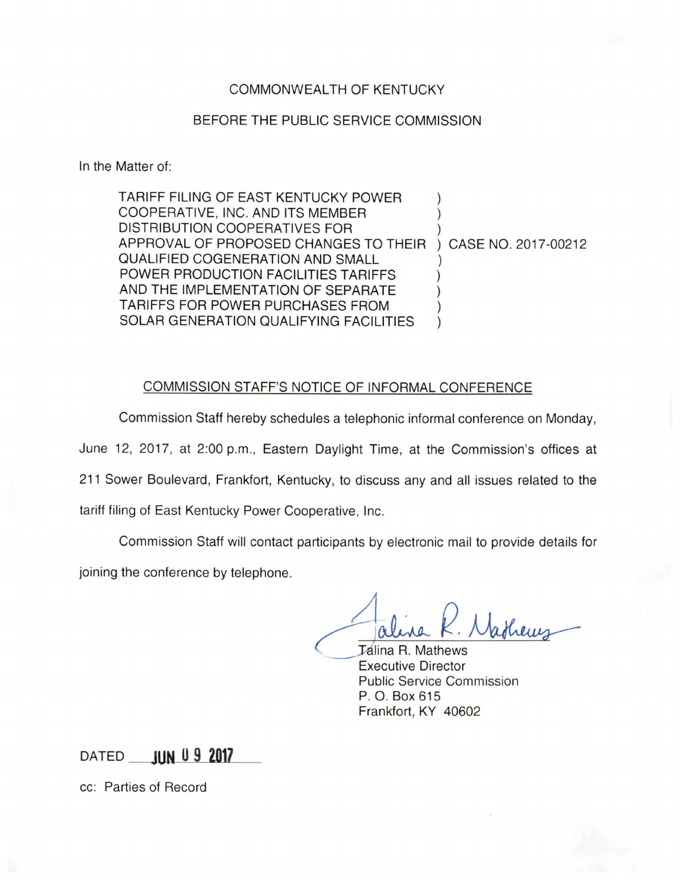## COMMONWEALTH OF KENTUCKY

## BEFORE THE PUBLIC SERVICE COMMISSION

In the Matter of:

TARIFF FILING OF EAST KENTUCKY POWER COOPERATIVE, INC. AND ITS MEMBER DISTRIBUTION COOPERATIVES FOR APPROVAL OF PROPOSED CHANGES TO THEIR CASE NO. 2017-00212 QUALIFIED COGENERATION AND SMALL POWER PRODUCTION FACILITIES TARIFFS AND THE IMPLEMENTATION OF SEPARATE TARIFFS FOR POWER PURCHASES FROM SOLAR GENERATION QUALIFYING FACILITIES

## COMMISSION STAFF'S NOTICE OF INFORMAL CONFERENCE

Commission Staff hereby schedules a telephonic informal conference on Monday, June 12, 2017, at 2:00 p.m., Eastern Daylight Time, at the Commission's offices at 211 Sower Boulevard, Frankfort, Kentucky, to discuss any and all issues related to the

tariff filing of East Kentucky Power Cooperative, Inc.

Commission Staff will contact participants by electronic mail to provide details for joining the conference by telephone.

**Jalina R. Mathews** Executive Director Public Service Commission P. O. Box 615 Frankfort, KY 40602

DATED **JUN 0 9 2017** 

cc: Parties of Record